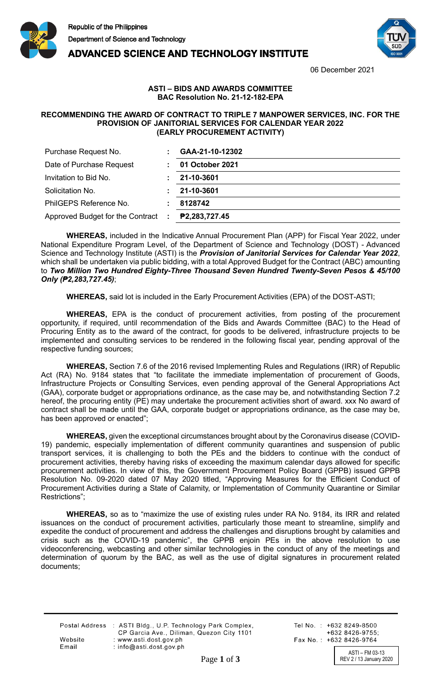

**ADVANCED SCIENCE AND TECHNOLOGY INSTITUTE** 



06 December 2021

## **ASTI – BIDS AND AWARDS COMMITTEE BAC Resolution No. 21-12-182-EPA**

## **RECOMMENDING THE AWARD OF CONTRACT TO TRIPLE 7 MANPOWER SERVICES, INC. FOR THE PROVISION OF JANITORIAL SERVICES FOR CALENDAR YEAR 2022 (EARLY PROCUREMENT ACTIVITY)**

| Purchase Request No.               | GAA-21-10-12302 |
|------------------------------------|-----------------|
| Date of Purchase Request           | 01 October 2021 |
| Invitation to Bid No.              | 21-10-3601      |
| Solicitation No.                   | 21-10-3601      |
| PhilGEPS Reference No.             | 8128742         |
| Approved Budget for the Contract : | P2,283,727.45   |

**WHEREAS,** included in the Indicative Annual Procurement Plan (APP) for Fiscal Year 2022, under National Expenditure Program Level, of the Department of Science and Technology (DOST) - Advanced Science and Technology Institute (ASTI) is the *Provision of Janitorial Services for Calendar Year 2022*, which shall be undertaken via public bidding, with a total Approved Budget for the Contract (ABC) amounting to *Two Million Two Hundred Eighty-Three Thousand Seven Hundred Twenty-Seven Pesos & 45/100 Only (₱2,283,727.45)*;

**WHEREAS,** said lot is included in the Early Procurement Activities (EPA) of the DOST-ASTI;

**WHEREAS,** EPA is the conduct of procurement activities, from posting of the procurement opportunity, if required, until recommendation of the Bids and Awards Committee (BAC) to the Head of Procuring Entity as to the award of the contract, for goods to be delivered, infrastructure projects to be implemented and consulting services to be rendered in the following fiscal year, pending approval of the respective funding sources;

**WHEREAS,** Section 7.6 of the 2016 revised Implementing Rules and Regulations (IRR) of Republic Act (RA) No. 9184 states that "to facilitate the immediate implementation of procurement of Goods, Infrastructure Projects or Consulting Services, even pending approval of the General Appropriations Act (GAA), corporate budget or appropriations ordinance, as the case may be, and notwithstanding Section 7.2 hereof, the procuring entity (PE) may undertake the procurement activities short of award. xxx No award of contract shall be made until the GAA, corporate budget or appropriations ordinance, as the case may be, has been approved or enacted";

**WHEREAS,** given the exceptional circumstances brought about by the Coronavirus disease (COVID-19) pandemic, especially implementation of different community quarantines and suspension of public transport services, it is challenging to both the PEs and the bidders to continue with the conduct of procurement activities, thereby having risks of exceeding the maximum calendar days allowed for specific procurement activities. In view of this, the Government Procurement Policy Board (GPPB) issued GPPB Resolution No. 09-2020 dated 07 May 2020 titled, "Approving Measures for the Efficient Conduct of Procurement Activities during a State of Calamity, or Implementation of Community Quarantine or Similar Restrictions";

**WHEREAS,** so as to "maximize the use of existing rules under RA No. 9184, its IRR and related issuances on the conduct of procurement activities, particularly those meant to streamline, simplify and expedite the conduct of procurement and address the challenges and disruptions brought by calamities and crisis such as the COVID-19 pandemic", the GPPB enjoin PEs in the above resolution to use videoconferencing, webcasting and other similar technologies in the conduct of any of the meetings and determination of quorum by the BAC, as well as the use of digital signatures in procurement related documents;

|         | Postal Address : ASTI Bldg., U.P. Technology Park Complex,<br>CP Garcia Ave., Diliman, Quezon City 1101 |
|---------|---------------------------------------------------------------------------------------------------------|
| Website | : www.asti.dost.gov.ph                                                                                  |
| Email   | $:$ info@asti.dost.gov.ph                                                                               |

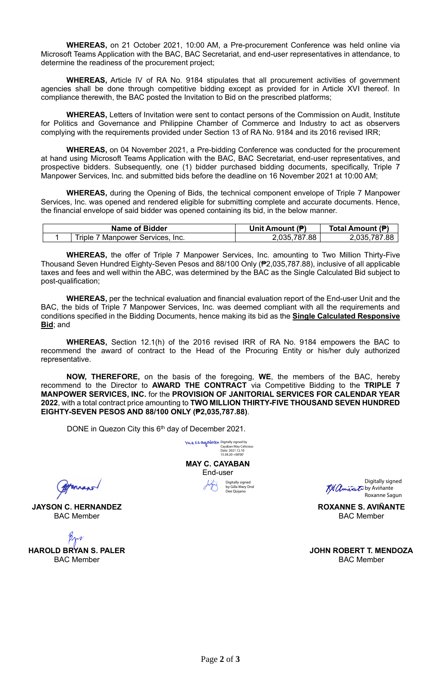**WHEREAS,** on 21 October 2021, 10:00 AM, a Pre-procurement Conference was held online via Microsoft Teams Application with the BAC, BAC Secretariat, and end-user representatives in attendance, to determine the readiness of the procurement project;

**WHEREAS,** Article IV of RA No. 9184 stipulates that all procurement activities of government agencies shall be done through competitive bidding except as provided for in Article XVI thereof. In compliance therewith, the BAC posted the Invitation to Bid on the prescribed platforms;

**WHEREAS,** Letters of Invitation were sent to contact persons of the Commission on Audit, Institute for Politics and Governance and Philippine Chamber of Commerce and Industry to act as observers complying with the requirements provided under Section 13 of RA No. 9184 and its 2016 revised IRR;

**WHEREAS,** on 04 November 2021, a Pre-bidding Conference was conducted for the procurement at hand using Microsoft Teams Application with the BAC, BAC Secretariat, end-user representatives, and prospective bidders. Subsequently, one (1) bidder purchased bidding documents, specifically, Triple 7 Manpower Services, Inc. and submitted bids before the deadline on 16 November 2021 at 10:00 AM;

**WHEREAS,** during the Opening of Bids, the technical component envelope of Triple 7 Manpower Services, Inc. was opened and rendered eligible for submitting complete and accurate documents. Hence, the financial envelope of said bidder was opened containing its bid, in the below manner.

| <b>Name of Bidder</b>             | Unit Amount (P) | Total Amount (₱) |
|-----------------------------------|-----------------|------------------|
| Triple<br>Manpower Services. Inc. | 2,035,787.88    | .035.787.<br>.88 |

**WHEREAS,** the offer of Triple 7 Manpower Services, Inc. amounting to Two Million Thirty-Five Thousand Seven Hundred Eighty-Seven Pesos and 88/100 Only (₱2,035,787.88), inclusive of all applicable taxes and fees and well within the ABC, was determined by the BAC as the Single Calculated Bid subject to post-qualification;

**WHEREAS,** per the technical evaluation and financial evaluation report of the End-user Unit and the BAC, the bids of Triple 7 Manpower Services, Inc. was deemed compliant with all the requirements and conditions specified in the Bidding Documents, hence making its bid as the **Single Calculated Responsive Bid**; and

**WHEREAS,** Section 12.1(h) of the 2016 revised IRR of RA No. 9184 empowers the BAC to recommend the award of contract to the Head of the Procuring Entity or his/her duly authorized representative.

**NOW, THEREFORE,** on the basis of the foregoing, **WE**, the members of the BAC, hereby recommend to the Director to **AWARD THE CONTRACT** via Competitive Bidding to the **TRIPLE 7 MANPOWER SERVICES, INC.** for the **PROVISION OF JANITORIAL SERVICES FOR CALENDAR YEAR 2022**, with a total contract price amounting to **TWO MILLION THIRTY-FIVE THOUSAND SEVEN HUNDRED EIGHTY-SEVEN PESOS AND 88/100 ONLY (₱2,035,787.88)**.

DONE in Quezon City this 6<sup>th</sup> day of December 2021.



**JAYSON C. HERNANDEZ** BAC Member

**HAROLD BRYAN S. PALER** BAC Member

**MAY C. CAYABAN** End-user Digitally signed by Gilla Mary Drol Dee Quijano

Digitally signed by Cayaban May Celicious Date: 2021.12.10 15:38:20 +08'00'

Digitally signed **Ka Aminant**o by Aviñante Roxanne Sagun

**ROXANNE S. AVIÑANTE** BAC Member

**JOHN ROBERT T. MENDOZA** BAC Member